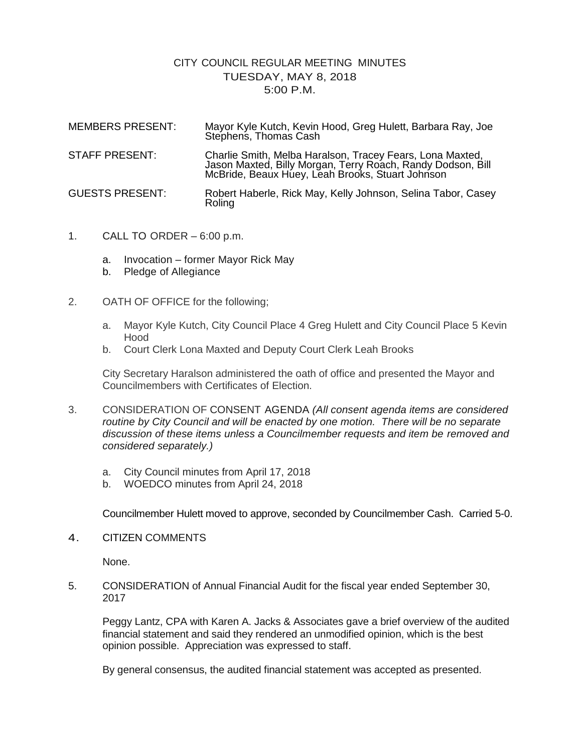## CITY COUNCIL REGULAR MEETING MINUTES TUESDAY, MAY 8, 2018 5:00 P.M.

| <b>MEMBERS PRESENT:</b> | Mayor Kyle Kutch, Kevin Hood, Greg Hulett, Barbara Ray, Joe<br>Stephens, Thomas Cash                                                                                         |
|-------------------------|------------------------------------------------------------------------------------------------------------------------------------------------------------------------------|
| <b>STAFF PRESENT:</b>   | Charlie Smith, Melba Haralson, Tracey Fears, Lona Maxted,<br>Jason Maxted, Billy Morgan, Terry Roach, Randy Dodson, Bill<br>McBride, Beaux Huey, Leah Brooks, Stuart Johnson |
| <b>GUESTS PRESENT:</b>  | Robert Haberle, Rick May, Kelly Johnson, Selina Tabor, Casey<br>Roling                                                                                                       |

- 1. CALL TO ORDER 6:00 p.m.
	- a. Invocation former Mayor Rick May
	- b. Pledge of Allegiance
- 2. OATH OF OFFICE for the following;
	- a. Mayor Kyle Kutch, City Council Place 4 Greg Hulett and City Council Place 5 Kevin Hood
	- b. Court Clerk Lona Maxted and Deputy Court Clerk Leah Brooks

City Secretary Haralson administered the oath of office and presented the Mayor and Councilmembers with Certificates of Election.

- 3. CONSIDERATION OF CONSENT AGENDA *(All consent agenda items are considered routine by City Council and will be enacted by one motion. There will be no separate discussion of these items unless a Councilmember requests and item be removed and considered separately.)*
	- a. City Council minutes from April 17, 2018
	- b. WOEDCO minutes from April 24, 2018

Councilmember Hulett moved to approve, seconded by Councilmember Cash. Carried 5-0.

4. CITIZEN COMMENTS

None.

5. CONSIDERATION of Annual Financial Audit for the fiscal year ended September 30, 2017

Peggy Lantz, CPA with Karen A. Jacks & Associates gave a brief overview of the audited financial statement and said they rendered an unmodified opinion, which is the best opinion possible. Appreciation was expressed to staff.

By general consensus, the audited financial statement was accepted as presented.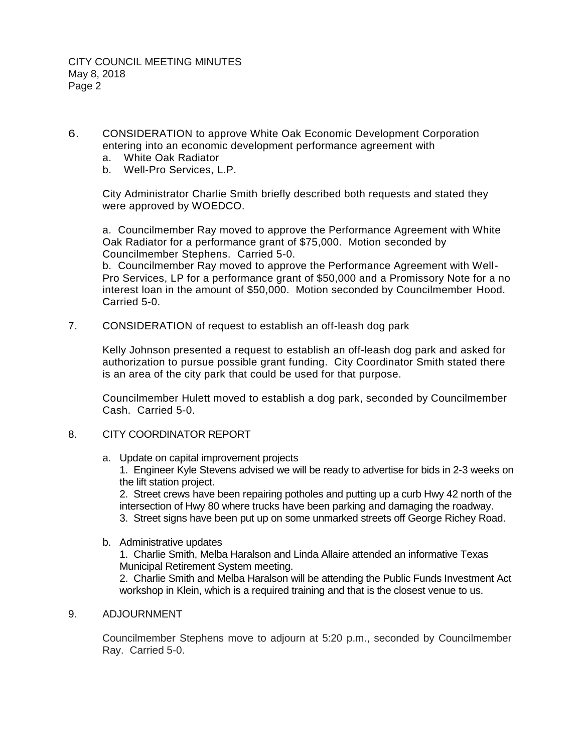- 6. CONSIDERATION to approve White Oak Economic Development Corporation entering into an economic development performance agreement with
	- a. White Oak Radiator
	- b. Well-Pro Services, L.P.

City Administrator Charlie Smith briefly described both requests and stated they were approved by WOEDCO.

a. Councilmember Ray moved to approve the Performance Agreement with White Oak Radiator for a performance grant of \$75,000. Motion seconded by Councilmember Stephens. Carried 5-0.

b. Councilmember Ray moved to approve the Performance Agreement with Well-Pro Services, LP for a performance grant of \$50,000 and a Promissory Note for a no interest loan in the amount of \$50,000. Motion seconded by Councilmember Hood. Carried 5-0.

7. CONSIDERATION of request to establish an off-leash dog park

Kelly Johnson presented a request to establish an off-leash dog park and asked for authorization to pursue possible grant funding. City Coordinator Smith stated there is an area of the city park that could be used for that purpose.

Councilmember Hulett moved to establish a dog park, seconded by Councilmember Cash. Carried 5-0.

## 8. CITY COORDINATOR REPORT

a. Update on capital improvement projects

1. Engineer Kyle Stevens advised we will be ready to advertise for bids in 2-3 weeks on the lift station project.

2. Street crews have been repairing potholes and putting up a curb Hwy 42 north of the intersection of Hwy 80 where trucks have been parking and damaging the roadway.

- 3. Street signs have been put up on some unmarked streets off George Richey Road.
- b. Administrative updates

1. Charlie Smith, Melba Haralson and Linda Allaire attended an informative Texas Municipal Retirement System meeting.

2. Charlie Smith and Melba Haralson will be attending the Public Funds Investment Act workshop in Klein, which is a required training and that is the closest venue to us.

## 9. ADJOURNMENT

Councilmember Stephens move to adjourn at 5:20 p.m., seconded by Councilmember Ray. Carried 5-0.